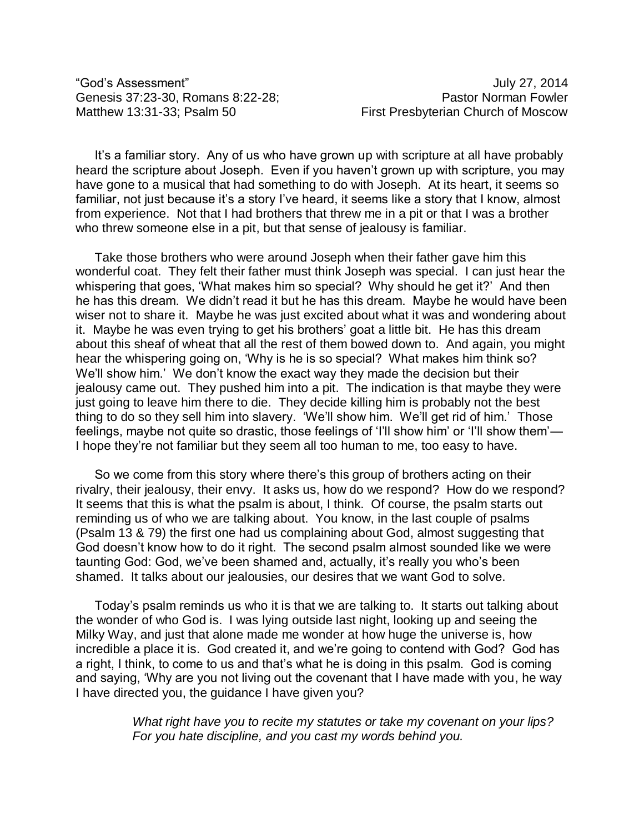"God's Assessment" July 27, 2014

It's a familiar story. Any of us who have grown up with scripture at all have probably heard the scripture about Joseph. Even if you haven't grown up with scripture, you may have gone to a musical that had something to do with Joseph. At its heart, it seems so familiar, not just because it's a story I've heard, it seems like a story that I know, almost from experience. Not that I had brothers that threw me in a pit or that I was a brother who threw someone else in a pit, but that sense of jealousy is familiar.

Take those brothers who were around Joseph when their father gave him this wonderful coat. They felt their father must think Joseph was special. I can just hear the whispering that goes, 'What makes him so special? Why should he get it?' And then he has this dream. We didn't read it but he has this dream. Maybe he would have been wiser not to share it. Maybe he was just excited about what it was and wondering about it. Maybe he was even trying to get his brothers' goat a little bit. He has this dream about this sheaf of wheat that all the rest of them bowed down to. And again, you might hear the whispering going on, 'Why is he is so special? What makes him think so? We'll show him.' We don't know the exact way they made the decision but their jealousy came out. They pushed him into a pit. The indication is that maybe they were just going to leave him there to die. They decide killing him is probably not the best thing to do so they sell him into slavery. 'We'll show him. We'll get rid of him.' Those feelings, maybe not quite so drastic, those feelings of 'I'll show him' or 'I'll show them'— I hope they're not familiar but they seem all too human to me, too easy to have.

So we come from this story where there's this group of brothers acting on their rivalry, their jealousy, their envy. It asks us, how do we respond? How do we respond? It seems that this is what the psalm is about, I think. Of course, the psalm starts out reminding us of who we are talking about. You know, in the last couple of psalms (Psalm 13 & 79) the first one had us complaining about God, almost suggesting that God doesn't know how to do it right. The second psalm almost sounded like we were taunting God: God, we've been shamed and, actually, it's really you who's been shamed. It talks about our jealousies, our desires that we want God to solve.

Today's psalm reminds us who it is that we are talking to. It starts out talking about the wonder of who God is. I was lying outside last night, looking up and seeing the Milky Way, and just that alone made me wonder at how huge the universe is, how incredible a place it is. God created it, and we're going to contend with God? God has a right, I think, to come to us and that's what he is doing in this psalm. God is coming and saying, 'Why are you not living out the covenant that I have made with you, he way I have directed you, the guidance I have given you?

> *What right have you to recite my statutes or take my covenant on your lips? For you hate discipline, and you cast my words behind you.*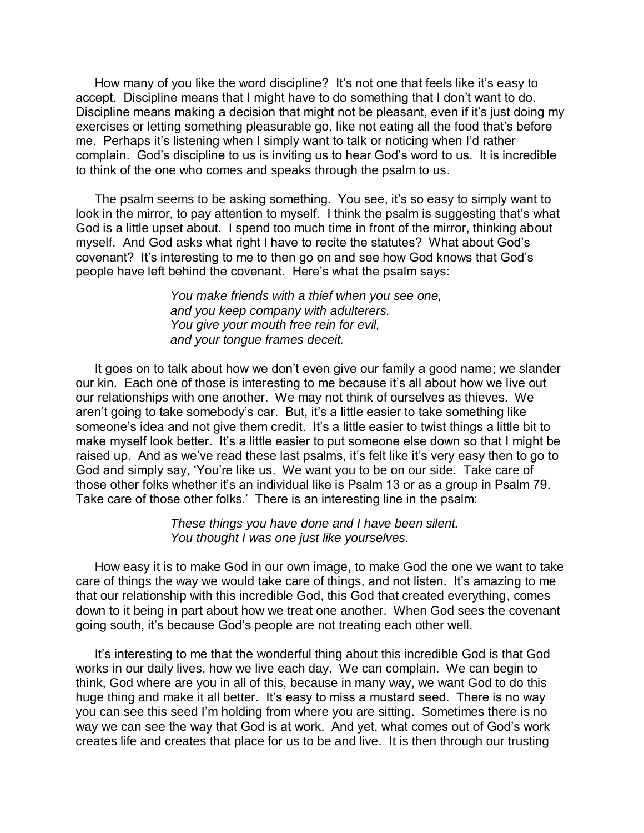How many of you like the word discipline? It's not one that feels like it's easy to accept. Discipline means that I might have to do something that I don't want to do. Discipline means making a decision that might not be pleasant, even if it's just doing my exercises or letting something pleasurable go, like not eating all the food that's before me. Perhaps it's listening when I simply want to talk or noticing when I'd rather complain. God's discipline to us is inviting us to hear God's word to us. It is incredible to think of the one who comes and speaks through the psalm to us.

The psalm seems to be asking something. You see, it's so easy to simply want to look in the mirror, to pay attention to myself. I think the psalm is suggesting that's what God is a little upset about. I spend too much time in front of the mirror, thinking about myself. And God asks what right I have to recite the statutes? What about God's covenant? It's interesting to me to then go on and see how God knows that God's people have left behind the covenant. Here's what the psalm says:

> *You make friends with a thief when you see one, and you keep company with adulterers. You give your mouth free rein for evil, and your tongue frames deceit.*

It goes on to talk about how we don't even give our family a good name; we slander our kin. Each one of those is interesting to me because it's all about how we live out our relationships with one another. We may not think of ourselves as thieves. We aren't going to take somebody's car. But, it's a little easier to take something like someone's idea and not give them credit. It's a little easier to twist things a little bit to make myself look better. It's a little easier to put someone else down so that I might be raised up. And as we've read these last psalms, it's felt like it's very easy then to go to God and simply say, 'You're like us. We want you to be on our side. Take care of those other folks whether it's an individual like is Psalm 13 or as a group in Psalm 79. Take care of those other folks.' There is an interesting line in the psalm:

> *These things you have done and I have been silent. You thought I was one just like yourselves.*

How easy it is to make God in our own image, to make God the one we want to take care of things the way we would take care of things, and not listen. It's amazing to me that our relationship with this incredible God, this God that created everything, comes down to it being in part about how we treat one another. When God sees the covenant going south, it's because God's people are not treating each other well.

It's interesting to me that the wonderful thing about this incredible God is that God works in our daily lives, how we live each day. We can complain. We can begin to think, God where are you in all of this, because in many way, we want God to do this huge thing and make it all better. It's easy to miss a mustard seed. There is no way you can see this seed I'm holding from where you are sitting. Sometimes there is no way we can see the way that God is at work. And yet, what comes out of God's work creates life and creates that place for us to be and live. It is then through our trusting